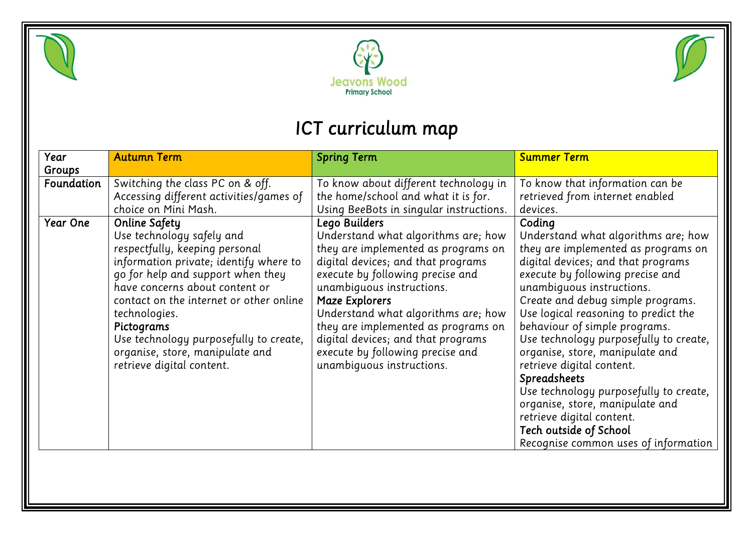





## *ICT curriculum map*

| Year            | <b>Autumn Term</b>                                                                                                                                                                                                                                                                                                                                                                       | <b>Spring Term</b>                                                                                                                                                                                                                                                                                                                                                                                               | <b>Summer Term</b>                                                                                                                                                                                                                                                                                                                                                                                                                                                                                                                                                                                                     |
|-----------------|------------------------------------------------------------------------------------------------------------------------------------------------------------------------------------------------------------------------------------------------------------------------------------------------------------------------------------------------------------------------------------------|------------------------------------------------------------------------------------------------------------------------------------------------------------------------------------------------------------------------------------------------------------------------------------------------------------------------------------------------------------------------------------------------------------------|------------------------------------------------------------------------------------------------------------------------------------------------------------------------------------------------------------------------------------------------------------------------------------------------------------------------------------------------------------------------------------------------------------------------------------------------------------------------------------------------------------------------------------------------------------------------------------------------------------------------|
| Groups          |                                                                                                                                                                                                                                                                                                                                                                                          |                                                                                                                                                                                                                                                                                                                                                                                                                  |                                                                                                                                                                                                                                                                                                                                                                                                                                                                                                                                                                                                                        |
| Foundation      | Switching the class PC on & off.<br>Accessing different activities/games of<br>choice on Mini Mash.                                                                                                                                                                                                                                                                                      | To know about different technology in<br>the home/school and what it is for.<br>Using BeeBots in singular instructions.                                                                                                                                                                                                                                                                                          | To know that information can be<br>retrieved from internet enabled<br>devices.                                                                                                                                                                                                                                                                                                                                                                                                                                                                                                                                         |
| <b>Year One</b> | <b>Online Safety</b><br>Use technology safely and<br>respectfully, keeping personal<br>information private; identify where to<br>go for help and support when they<br>have concerns about content or<br>contact on the internet or other online<br>technologies.<br>Pictograms<br>Use technology purposefully to create,<br>organise, store, manipulate and<br>retrieve digital content. | Lego Builders<br>Understand what algorithms are; how<br>they are implemented as programs on<br>digital devices; and that programs<br>execute by following precise and<br>unambiguous instructions.<br><b>Maze Explorers</b><br>Understand what algorithms are; how<br>they are implemented as programs on<br>digital devices; and that programs<br>execute by following precise and<br>unambiguous instructions. | Coding<br>Understand what algorithms are; how<br>they are implemented as programs on<br>digital devices; and that programs<br>execute by following precise and<br>unambiguous instructions.<br>Create and debug simple programs.<br>Use logical reasoning to predict the<br>behaviour of simple programs.<br>Use technology purposefully to create,<br>organise, store, manipulate and<br>retrieve digital content.<br><b>Spreadsheets</b><br>Use technology purposefully to create,<br>organise, store, manipulate and<br>retrieve digital content.<br>Tech outside of School<br>Recognise common uses of information |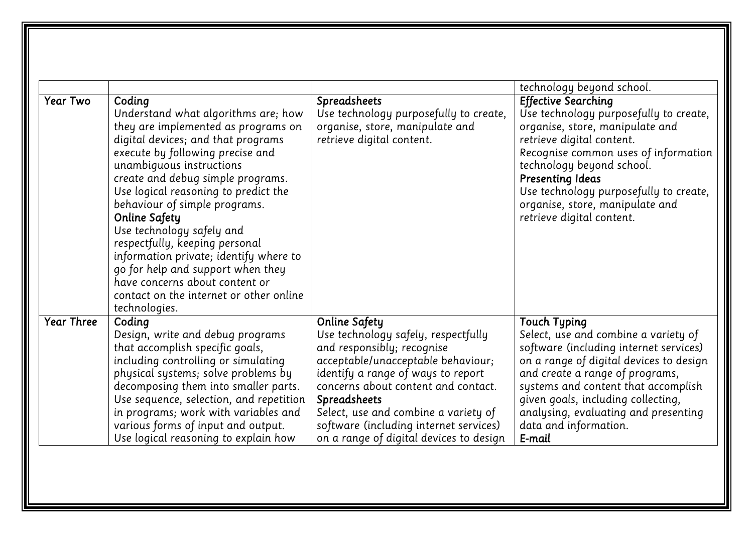| Coding<br>Understand what algorithms are; how<br>they are implemented as programs on<br>digital devices; and that programs<br>execute by following precise and<br>unambiguous instructions<br>create and debug simple programs.<br>Use logical reasoning to predict the<br>behaviour of simple programs.                     | Spreadsheets<br>Use technology purposefully to create,<br>organise, store, manipulate and<br>retrieve digital content.                                                                                                                                                                                         | technology beyond school.<br><b>Effective Searching</b><br>Use technology purposefully to create,<br>organise, store, manipulate and<br>retrieve digital content.<br>Recognise common uses of information<br>technology beyond school.<br><b>Presenting Ideas</b>                                                                           |
|------------------------------------------------------------------------------------------------------------------------------------------------------------------------------------------------------------------------------------------------------------------------------------------------------------------------------|----------------------------------------------------------------------------------------------------------------------------------------------------------------------------------------------------------------------------------------------------------------------------------------------------------------|---------------------------------------------------------------------------------------------------------------------------------------------------------------------------------------------------------------------------------------------------------------------------------------------------------------------------------------------|
|                                                                                                                                                                                                                                                                                                                              |                                                                                                                                                                                                                                                                                                                |                                                                                                                                                                                                                                                                                                                                             |
| <b>Online Safety</b><br>Use technology safely and<br>respectfully, keeping personal<br>information private; identify where to<br>go for help and support when they<br>have concerns about content or<br>contact on the internet or other online<br>technologies.                                                             |                                                                                                                                                                                                                                                                                                                | Use technology purposefully to create,<br>organise, store, manipulate and<br>retrieve digital content.                                                                                                                                                                                                                                      |
| Coding<br>Design, write and debug programs<br>that accomplish specific goals,<br>including controlling or simulating<br>physical systems; solve problems by<br>decomposing them into smaller parts.<br>Use sequence, selection, and repetition<br>in programs; work with variables and<br>various forms of input and output. | <b>Online Safety</b><br>Use technology safely, respectfully<br>and responsibly; recognise<br>acceptable/unacceptable behaviour;<br>identify a range of ways to report<br>concerns about content and contact.<br>Spreadsheets<br>Select, use and combine a variety of<br>software (including internet services) | <b>Touch Typing</b><br>Select, use and combine a variety of<br>software (including internet services)<br>on a range of digital devices to design<br>and create a range of programs,<br>systems and content that accomplish<br>given goals, including collecting,<br>analysing, evaluating and presenting<br>data and information.<br>E-mail |
|                                                                                                                                                                                                                                                                                                                              | Use logical reasoning to explain how                                                                                                                                                                                                                                                                           | on a range of digital devices to design                                                                                                                                                                                                                                                                                                     |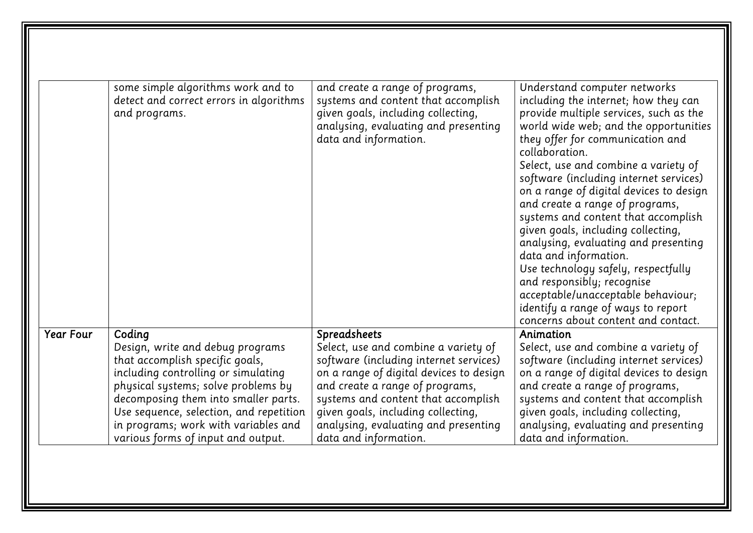|                  | some simple algorithms work and to<br>detect and correct errors in algorithms<br>and programs.                                                                                                                                                                                                                               | and create a range of programs,<br>systems and content that accomplish<br>given goals, including collecting,<br>analysing, evaluating and presenting<br>data and information.                                                                                                                                              | Understand computer networks<br>including the internet; how they can<br>provide multiple services, such as the<br>world wide web; and the opportunities<br>they offer for communication and<br>collaboration.<br>Select, use and combine a variety of<br>software (including internet services)<br>on a range of digital devices to design<br>and create a range of programs, |
|------------------|------------------------------------------------------------------------------------------------------------------------------------------------------------------------------------------------------------------------------------------------------------------------------------------------------------------------------|----------------------------------------------------------------------------------------------------------------------------------------------------------------------------------------------------------------------------------------------------------------------------------------------------------------------------|-------------------------------------------------------------------------------------------------------------------------------------------------------------------------------------------------------------------------------------------------------------------------------------------------------------------------------------------------------------------------------|
|                  |                                                                                                                                                                                                                                                                                                                              |                                                                                                                                                                                                                                                                                                                            | systems and content that accomplish<br>given goals, including collecting,<br>analysing, evaluating and presenting<br>data and information.<br>Use technology safely, respectfully<br>and responsibly; recognise<br>acceptable/unacceptable behaviour;<br>identify a range of ways to report<br>concerns about content and contact.                                            |
| <b>Year Four</b> | Coding<br>Design, write and debug programs<br>that accomplish specific goals,<br>including controlling or simulating<br>physical systems; solve problems by<br>decomposing them into smaller parts.<br>Use sequence, selection, and repetition<br>in programs; work with variables and<br>various forms of input and output. | Spreadsheets<br>Select, use and combine a variety of<br>software (including internet services)<br>on a range of digital devices to design<br>and create a range of programs,<br>systems and content that accomplish<br>given goals, including collecting,<br>analysing, evaluating and presenting<br>data and information. | Animation<br>Select, use and combine a variety of<br>software (including internet services)<br>on a range of digital devices to design<br>and create a range of programs,<br>systems and content that accomplish<br>given goals, including collecting,<br>analysing, evaluating and presenting<br>data and information.                                                       |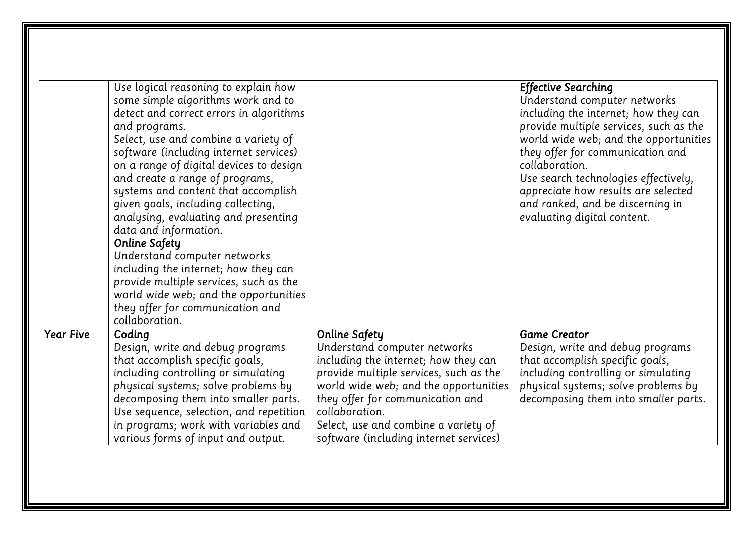|                  | Use logical reasoning to explain how<br>some simple algorithms work and to<br>detect and correct errors in algorithms<br>and programs.<br>Select, use and combine a variety of<br>software (including internet services)<br>on a range of digital devices to design<br>and create a range of programs,<br>systems and content that accomplish<br>given goals, including collecting,<br>analysing, evaluating and presenting<br>data and information.<br>Online Safety<br>Understand computer networks<br>including the internet; how they can<br>provide multiple services, such as the<br>world wide web; and the opportunities<br>they offer for communication and<br>collaboration. |                                                                                                                                                                                                                                                                                                                         | <b>Effective Searching</b><br>Understand computer networks<br>including the internet; how they can<br>provide multiple services, such as the<br>world wide web; and the opportunities<br>they offer for communication and<br>collaboration.<br>Use search technologies effectively,<br>appreciate how results are selected<br>and ranked, and be discerning in<br>evaluating digital content. |
|------------------|----------------------------------------------------------------------------------------------------------------------------------------------------------------------------------------------------------------------------------------------------------------------------------------------------------------------------------------------------------------------------------------------------------------------------------------------------------------------------------------------------------------------------------------------------------------------------------------------------------------------------------------------------------------------------------------|-------------------------------------------------------------------------------------------------------------------------------------------------------------------------------------------------------------------------------------------------------------------------------------------------------------------------|-----------------------------------------------------------------------------------------------------------------------------------------------------------------------------------------------------------------------------------------------------------------------------------------------------------------------------------------------------------------------------------------------|
| <b>Year Five</b> | Coding<br>Design, write and debug programs<br>that accomplish specific goals,<br>including controlling or simulating<br>physical systems; solve problems by<br>decomposing them into smaller parts.<br>Use sequence, selection, and repetition<br>in programs; work with variables and<br>various forms of input and output.                                                                                                                                                                                                                                                                                                                                                           | <b>Online Safety</b><br>Understand computer networks<br>including the internet; how they can<br>provide multiple services, such as the<br>world wide web; and the opportunities<br>they offer for communication and<br>collaboration.<br>Select, use and combine a variety of<br>software (including internet services) | <b>Game Creator</b><br>Design, write and debug programs<br>that accomplish specific goals,<br>including controlling or simulating<br>physical systems; solve problems by<br>decomposing them into smaller parts.                                                                                                                                                                              |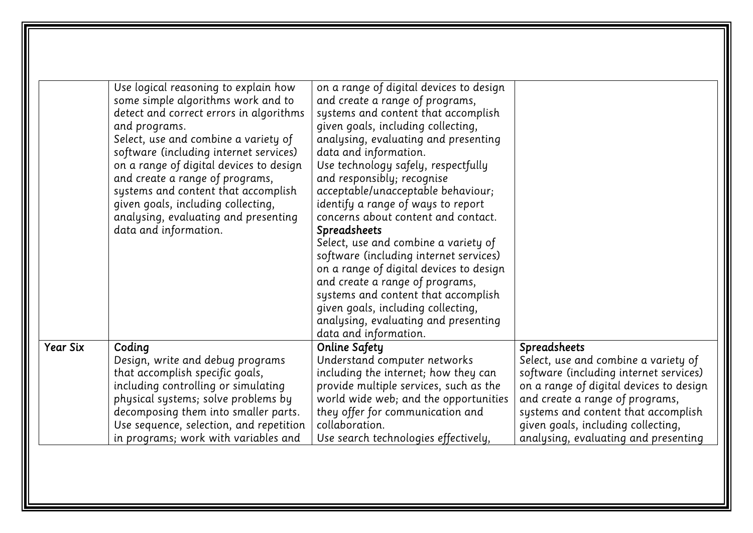|                 | Use logical reasoning to explain how<br>some simple algorithms work and to<br>detect and correct errors in algorithms<br>and programs.<br>Select, use and combine a variety of<br>software (including internet services)<br>on a range of digital devices to design<br>and create a range of programs,<br>systems and content that accomplish<br>given goals, including collecting,<br>analysing, evaluating and presenting<br>data and information. | on a range of digital devices to design<br>and create a range of programs,<br>systems and content that accomplish<br>given goals, including collecting,<br>analysing, evaluating and presenting<br>data and information.<br>Use technology safely, respectfully<br>and responsibly; recognise<br>acceptable/unacceptable behaviour;<br>identify a range of ways to report<br>concerns about content and contact.<br>Spreadsheets<br>Select, use and combine a variety of<br>software (including internet services)<br>on a range of digital devices to design<br>and create a range of programs,<br>systems and content that accomplish<br>given goals, including collecting,<br>analysing, evaluating and presenting<br>data and information. |                                         |
|-----------------|------------------------------------------------------------------------------------------------------------------------------------------------------------------------------------------------------------------------------------------------------------------------------------------------------------------------------------------------------------------------------------------------------------------------------------------------------|------------------------------------------------------------------------------------------------------------------------------------------------------------------------------------------------------------------------------------------------------------------------------------------------------------------------------------------------------------------------------------------------------------------------------------------------------------------------------------------------------------------------------------------------------------------------------------------------------------------------------------------------------------------------------------------------------------------------------------------------|-----------------------------------------|
| <b>Year Six</b> | Coding                                                                                                                                                                                                                                                                                                                                                                                                                                               | Online Safety                                                                                                                                                                                                                                                                                                                                                                                                                                                                                                                                                                                                                                                                                                                                  | Spreadsheets                            |
|                 | Design, write and debug programs                                                                                                                                                                                                                                                                                                                                                                                                                     | Understand computer networks                                                                                                                                                                                                                                                                                                                                                                                                                                                                                                                                                                                                                                                                                                                   | Select, use and combine a variety of    |
|                 | that accomplish specific goals,                                                                                                                                                                                                                                                                                                                                                                                                                      | including the internet; how they can                                                                                                                                                                                                                                                                                                                                                                                                                                                                                                                                                                                                                                                                                                           | software (including internet services)  |
|                 | including controlling or simulating                                                                                                                                                                                                                                                                                                                                                                                                                  | provide multiple services, such as the                                                                                                                                                                                                                                                                                                                                                                                                                                                                                                                                                                                                                                                                                                         | on a range of digital devices to design |
|                 | physical systems; solve problems by                                                                                                                                                                                                                                                                                                                                                                                                                  | world wide web; and the opportunities                                                                                                                                                                                                                                                                                                                                                                                                                                                                                                                                                                                                                                                                                                          | and create a range of programs,         |
|                 | decomposing them into smaller parts.                                                                                                                                                                                                                                                                                                                                                                                                                 | they offer for communication and                                                                                                                                                                                                                                                                                                                                                                                                                                                                                                                                                                                                                                                                                                               | systems and content that accomplish     |
|                 | Use sequence, selection, and repetition                                                                                                                                                                                                                                                                                                                                                                                                              | collaboration.                                                                                                                                                                                                                                                                                                                                                                                                                                                                                                                                                                                                                                                                                                                                 | given goals, including collecting,      |
|                 | in programs; work with variables and                                                                                                                                                                                                                                                                                                                                                                                                                 | Use search technologies effectively,                                                                                                                                                                                                                                                                                                                                                                                                                                                                                                                                                                                                                                                                                                           | analysing, evaluating and presenting    |